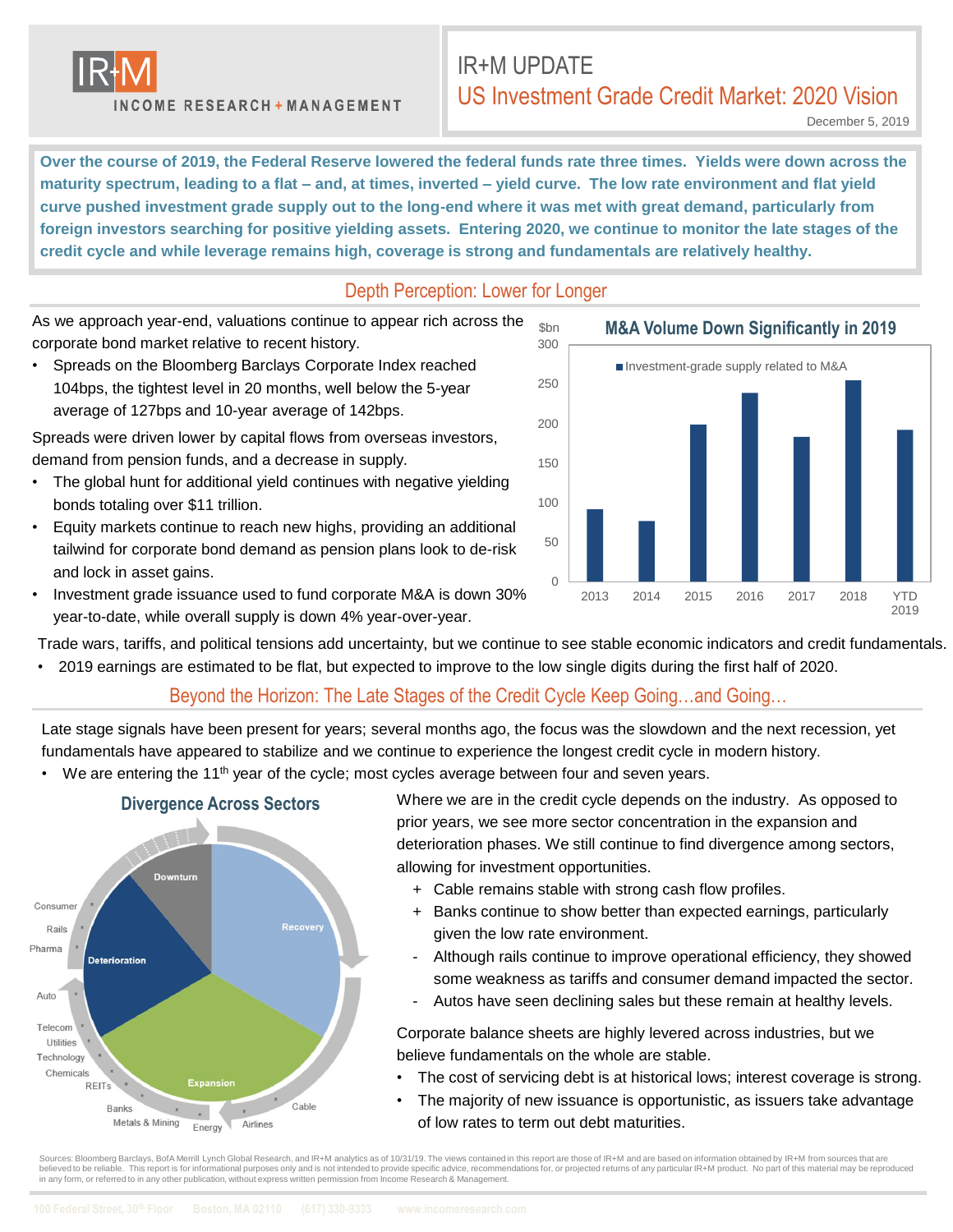

**INCOME RESEARCH + MANAGEMENT** 

# IR+M UPDATE US Investment Grade Credit Market: 2020 Vision

December 5, 2019

**Over the course of 2019, the Federal Reserve lowered the federal funds rate three times. Yields were down across the maturity spectrum, leading to a flat – and, at times, inverted – yield curve. The low rate environment and flat yield curve pushed investment grade supply out to the long-end where it was met with great demand, particularly from foreign investors searching for positive yielding assets. Entering 2020, we continue to monitor the late stages of the credit cycle and while leverage remains high, coverage is strong and fundamentals are relatively healthy.** 

### Depth Perception: Lower for Longer

As we approach year-end, valuations continue to appear rich across the corporate bond market relative to recent history.

• Spreads on the Bloomberg Barclays Corporate Index reached 104bps, the tightest level in 20 months, well below the 5-year average of 127bps and 10-year average of 142bps.

Spreads were driven lower by capital flows from overseas investors, demand from pension funds, and a decrease in supply.

- The global hunt for additional yield continues with negative yielding bonds totaling over \$11 trillion.
- Equity markets continue to reach new highs, providing an additional tailwind for corporate bond demand as pension plans look to de-risk and lock in asset gains.
- Investment grade issuance used to fund corporate M&A is down 30% year-to-date, while overall supply is down 4% year-over-year.

Trade wars, tariffs, and political tensions add uncertainty, but we continue to see stable economic indicators and credit fundamentals.

• 2019 earnings are estimated to be flat, but expected to improve to the low single digits during the first half of 2020.

### Beyond the Horizon: The Late Stages of the Credit Cycle Keep Going…and Going…

Late stage signals have been present for years; several months ago, the focus was the slowdown and the next recession, yet fundamentals have appeared to stabilize and we continue to experience the longest credit cycle in modern history.

• We are entering the 11<sup>th</sup> year of the cycle; most cycles average between four and seven years.



Where we are in the credit cycle depends on the industry. As opposed to prior years, we see more sector concentration in the expansion and deterioration phases. We still continue to find divergence among sectors, allowing for investment opportunities.

- + Cable remains stable with strong cash flow profiles.
- + Banks continue to show better than expected earnings, particularly given the low rate environment.
- Although rails continue to improve operational efficiency, they showed some weakness as tariffs and consumer demand impacted the sector.
- Autos have seen declining sales but these remain at healthy levels.

Corporate balance sheets are highly levered across industries, but we believe fundamentals on the whole are stable.

- The cost of servicing debt is at historical lows; interest coverage is strong.
- The majority of new issuance is opportunistic, as issuers take advantage of low rates to term out debt maturities.

Sources: Bloomberg Barclays, BofA Merrill Lynch Global Research, and IR+M analytics as of 10/31/19. The views contained in this report are those of IR+M and are based on information obtained by IR+M from sources that are believed to be reliable. This report is for informational purposes only and is not intended to provide specific advice, recommendations for, or projected returns of any particular IR+M product. No part of this material may